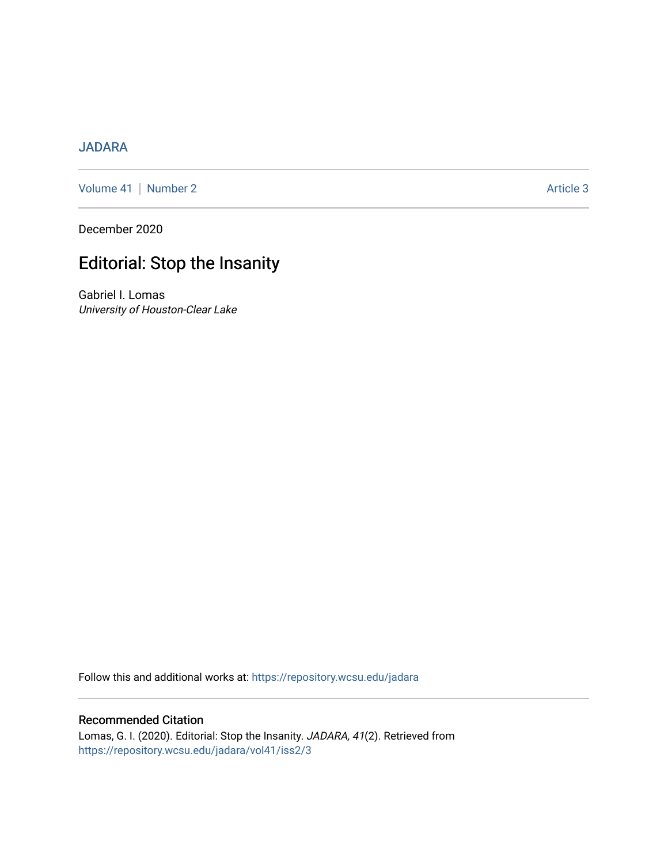### [JADARA](https://repository.wcsu.edu/jadara)

[Volume 41](https://repository.wcsu.edu/jadara/vol41) | [Number 2](https://repository.wcsu.edu/jadara/vol41/iss2) Article 3

December 2020

# Editorial: Stop the Insanity

Gabriel I. Lomas University of Houston-Clear Lake

Follow this and additional works at: [https://repository.wcsu.edu/jadara](https://repository.wcsu.edu/jadara?utm_source=repository.wcsu.edu%2Fjadara%2Fvol41%2Fiss2%2F3&utm_medium=PDF&utm_campaign=PDFCoverPages)

#### Recommended Citation

Lomas, G. I. (2020). Editorial: Stop the Insanity. JADARA, 41(2). Retrieved from [https://repository.wcsu.edu/jadara/vol41/iss2/3](https://repository.wcsu.edu/jadara/vol41/iss2/3?utm_source=repository.wcsu.edu%2Fjadara%2Fvol41%2Fiss2%2F3&utm_medium=PDF&utm_campaign=PDFCoverPages)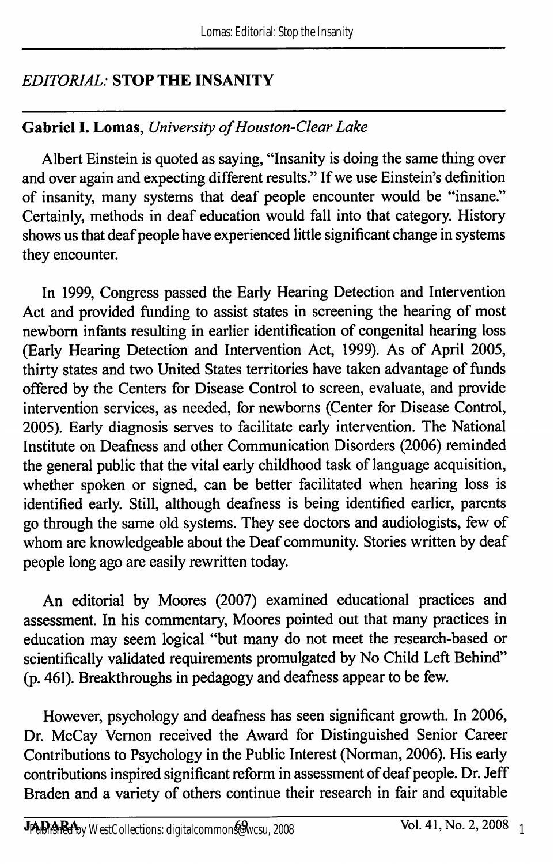# EDITORIAL: STOP THE INSANITY

# Gabriel I. Lomas, University of Houston-Clear Lake

Albert Einstein is quoted as saying, "Insanity is doing the same thing over and over again and expecting different results." If we use Einstein's definition of insanity, many systems that deaf people encounter would be "insane." Certainly, methods in deaf education would fall into that category. History shows us that deaf people have experienced little significant change in systems they encounter.

In 1999, Congress passed the Early Hearing Detection and Intervention Act and provided funding to assist states in screening the hearing of most newborn infants resulting in earlier identification of congenital hearing loss (Early Hearing Detection and Intervention Act, 1999). As of April 2005, thirty states and two United States territories have taken advantage of funds offered by the Centers for Disease Control to screen, evaluate, and provide intervention services, as needed, for newboms (Center for Disease Control, 2005). Early diagnosis serves to facilitate early intervention. The National Institute on Deafness and other Communication Disorders (2006) reminded the general public that the vital early childhood task of language acquisition, whether spoken or signed, can be better facilitated when hearing loss is identified early. Still, although deafness is being identified earlier, parents go through the same old systems. They see doctors and audiologists, few of whom are knowledgeable about the Deaf community. Stories written by deaf people long ago are easily rewritten today.

An editorial by Moores (2007) examined educational practices and assessment. In his commentary, Moores pointed out that many practices in education may seem logical "but many do not meet the research-based or scientifically validated requirements promulgated by No Child Left Behind" (p. 461). Breakthroughs in pedagogy and deafness appear to be few.

However, psychology and deafness has seen significant growth. In 2006, Dr. McCay Vemon received the Award for Distinguished Senior Career Contributions to Psychology in the Public Interest (Norman, 2006). His early contributions inspired significant reform in assessment of deaf people. Dr. Jeff Braden and a variety of others continue their research in fair and equitable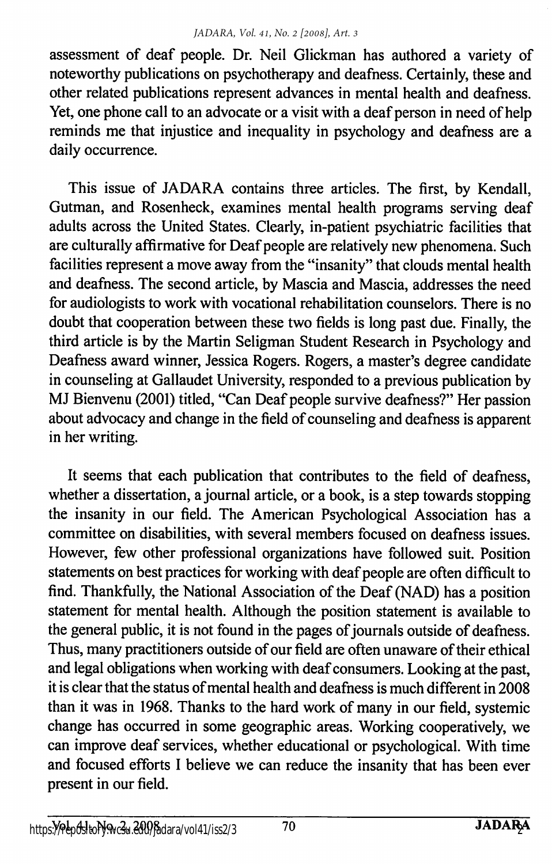assessment of deaf people. Dr. Neil Glickman has authored a variety of noteworthy publications on psychotherapy and deafness. Certainly, these and other related publications represent advances in mental health and deafness. Yet, one phone call to an advocate or a visit with a deaf person in need of help reminds me that injustice and inequality in psychology and deafness are a daily occurrence.

This issue of JADARA contains three articles. The first, by Kendall, Gutman, and Rosenheck, examines mental health programs serving deaf adults across the United States. Clearly, in-patient psychiatric facilities that are culturally affirmative for Deaf people are relatively new phenomena. Such facilities represent a move away from the "insanity" that clouds mental health and deafness. The second article, by Mascia and Mascia, addresses the need for audiologists to work with vocational rehabilitation counselors. There is no doubt that cooperation between these two fields is long past due. Finally, the third article is by the Martin Seligman Student Research in Psychology and Deafness award winner, Jessica Rogers. Rogers, a master's degree candidate in counseling at Gallaudet University, responded to a previous publication by MJ Bienvenu (2001) titled, "Can Deaf people survive deafness?" Her passion about advocacy and change in the field of counseling and deafness is apparent in her writing.

It seems that each publication that contributes to the field of deafness, whether a dissertation, a journal article, or a book, is a step towards stopping the insanity in our field. The American Psychological Association has a committee on disabilities, with several members focused on deafness issues. However, few other professional organizations have followed suit. Position statements on best practices for working with deaf people are often difficult to find. Thankfully, the National Association of the Deaf (NAD) has a position statement for mental health. Although the position statement is available to the general public, it is not found in the pages of journals outside of deafness. Thus, many practitioners outside of our field are often unaware of their ethical and legal obligations when working with deaf consumers. Looking at the past, it is clear that the status of mental health and deafness is much different in 2008 than it was in 1968. Thanks to the hard work of many in our field, systemic change has occurred in some geographic areas. Working cooperatively, we can improve deaf services, whether educational or psychological. With time and focused efforts I believe we can reduce the insanity that has been ever present in our field.